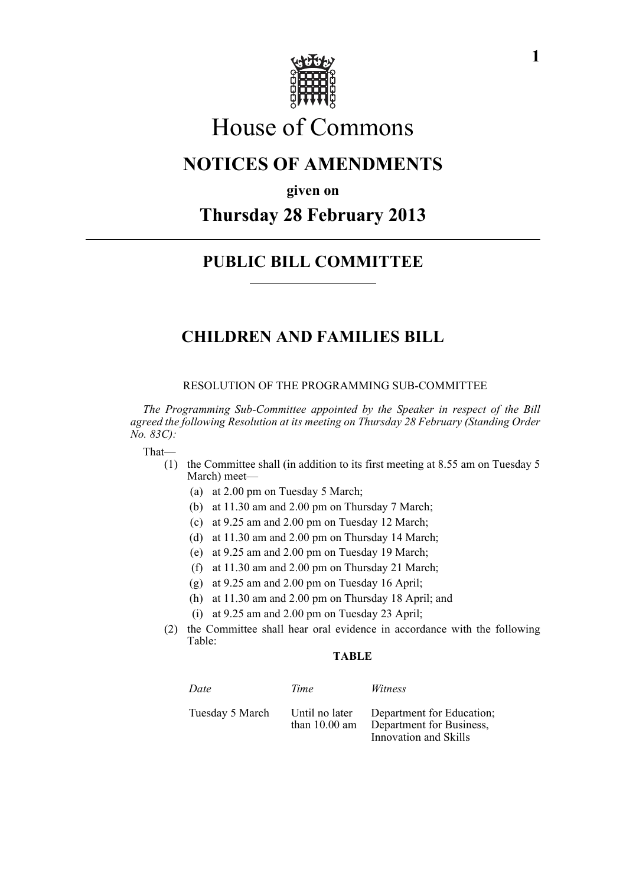

# House of Commons

### **NOTICES OF AMENDMENTS**

**given on**

## **Thursday 28 February 2013**

### **PUBLIC BILL COMMITTEE**

### **CHILDREN AND FAMILIES BILL**

#### RESOLUTION OF THE PROGRAMMING SUB-COMMITTEE

*The Programming Sub-Committee appointed by the Speaker in respect of the Bill agreed the following Resolution at its meeting on Thursday 28 February (Standing Order No. 83C):*

#### That—

- (1) the Committee shall (in addition to its first meeting at 8.55 am on Tuesday 5 March) meet—
	- (a) at 2.00 pm on Tuesday 5 March;
	- (b) at 11.30 am and 2.00 pm on Thursday 7 March;
	- (c) at 9.25 am and 2.00 pm on Tuesday 12 March;
	- (d) at 11.30 am and 2.00 pm on Thursday 14 March;
	- (e) at 9.25 am and 2.00 pm on Tuesday 19 March;
	- (f) at 11.30 am and 2.00 pm on Thursday 21 March;
	- (g) at 9.25 am and 2.00 pm on Tuesday 16 April;
	- (h) at 11.30 am and 2.00 pm on Thursday 18 April; and
	- (i) at 9.25 am and 2.00 pm on Tuesday 23 April;
- (2) the Committee shall hear oral evidence in accordance with the following Table:

#### **TABLE**

| Date            | Time                                      | Witness                                                                        |
|-----------------|-------------------------------------------|--------------------------------------------------------------------------------|
| Tuesday 5 March | Until no later<br>than $10.00 \text{ am}$ | Department for Education;<br>Department for Business,<br>Innovation and Skills |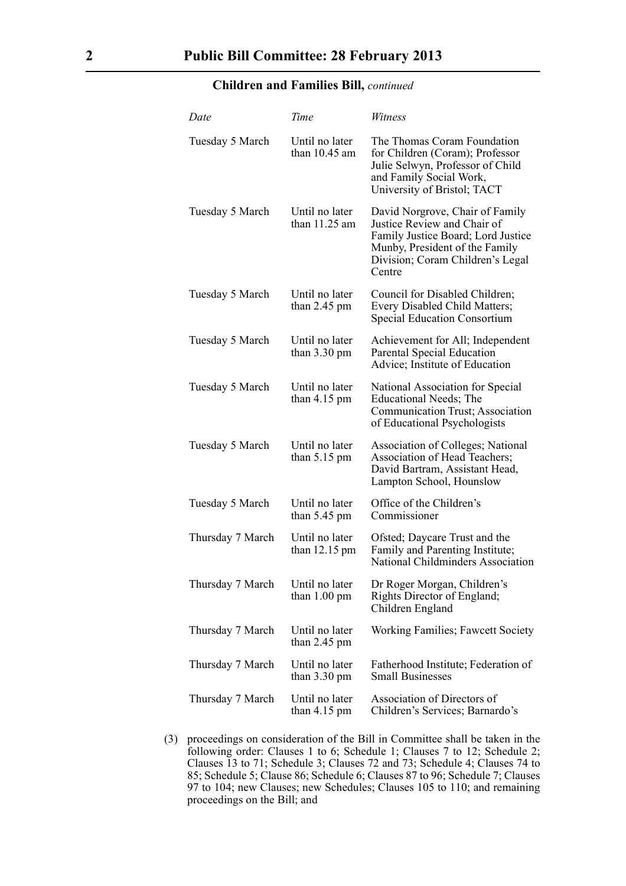#### **Children and Families Bill,** *continued*

| Date             | Time                                     | Witness                                                                                                                                                                              |
|------------------|------------------------------------------|--------------------------------------------------------------------------------------------------------------------------------------------------------------------------------------|
| Tuesday 5 March  | Until no later<br>than $10.45$ am        | The Thomas Coram Foundation<br>for Children (Coram); Professor<br>Julie Selwyn, Professor of Child<br>and Family Social Work,<br>University of Bristol; TACT                         |
| Tuesday 5 March  | Until no later<br>than 11.25 am          | David Norgrove, Chair of Family<br>Justice Review and Chair of<br>Family Justice Board; Lord Justice<br>Munby, President of the Family<br>Division; Coram Children's Legal<br>Centre |
| Tuesday 5 March  | Until no later<br>than $2.45$ pm         | Council for Disabled Children;<br>Every Disabled Child Matters;<br><b>Special Education Consortium</b>                                                                               |
| Tuesday 5 March  | Until no later<br>than $3.30 \text{ pm}$ | Achievement for All; Independent<br>Parental Special Education<br>Advice; Institute of Education                                                                                     |
| Tuesday 5 March  | Until no later<br>than $4.15$ pm         | National Association for Special<br>Educational Needs; The<br>Communication Trust; Association<br>of Educational Psychologists                                                       |
| Tuesday 5 March  | Until no later<br>than $5.15$ pm         | <b>Association of Colleges; National</b><br>Association of Head Teachers;<br>David Bartram, Assistant Head,<br>Lampton School, Hounslow                                              |
| Tuesday 5 March  | Until no later<br>than $5.45$ pm         | Office of the Children's<br>Commissioner                                                                                                                                             |
| Thursday 7 March | Until no later<br>than 12.15 pm          | Ofsted; Daycare Trust and the<br>Family and Parenting Institute;<br>National Childminders Association                                                                                |
| Thursday 7 March | Until no later<br>than $1.00 \text{ pm}$ | Dr Roger Morgan, Children's<br>Rights Director of England;<br>Children England                                                                                                       |
| Thursday 7 March | Until no later<br>than $2.45$ pm         | <b>Working Families; Fawcett Society</b>                                                                                                                                             |
| Thursday 7 March | Until no later<br>than $3.30 \text{ pm}$ | Fatherhood Institute; Federation of<br><b>Small Businesses</b>                                                                                                                       |
| Thursday 7 March | Until no later<br>than $4.15 \text{ pm}$ | Association of Directors of<br>Children's Services; Barnardo's                                                                                                                       |

(3) proceedings on consideration of the Bill in Committee shall be taken in the following order: Clauses 1 to 6; Schedule 1; Clauses 7 to 12; Schedule 2; Clauses 13 to 71; Schedule 3; Clauses 72 and 73; Schedule 4; Clauses 74 to 85; Schedule 5; Clause 86; Schedule 6; Clauses 87 to 96; Schedule 7; Clauses 97 to 104; new Clauses; new Schedules; Clauses 105 to 110; and remaining proceedings on the Bill; and